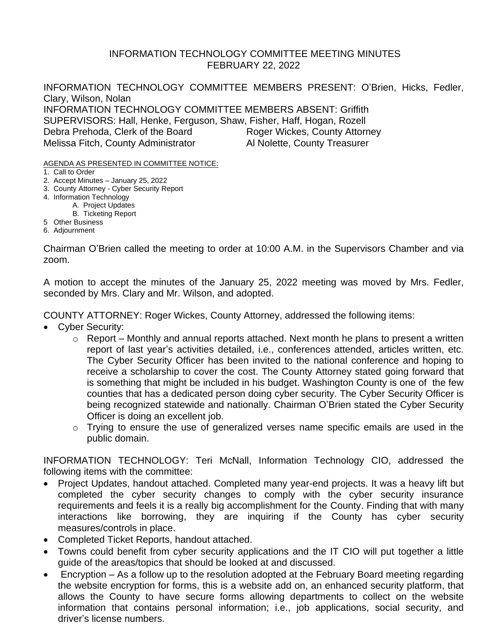## INFORMATION TECHNOLOGY COMMITTEE MEETING MINUTES FEBRUARY 22, 2022

INFORMATION TECHNOLOGY COMMITTEE MEMBERS PRESENT: O'Brien, Hicks, Fedler, Clary, Wilson, Nolan INFORMATION TECHNOLOGY COMMITTEE MEMBERS ABSENT: Griffith SUPERVISORS: Hall, Henke, Ferguson, Shaw, Fisher, Haff, Hogan, Rozell Debra Prehoda, Clerk of the Board Roger Wickes, County Attorney Melissa Fitch, County Administrator **Al Nolette, County Treasurer** 

AGENDA AS PRESENTED IN COMMITTEE NOTICE:

- 1. Call to Order
- 2. Accept Minutes January 25, 2022
- 3. County Attorney Cyber Security Report
- 4. Information Technology
	- A. Project Updates
		- B. Ticketing Report
- 5 Other Business
- 6. Adjournment

Chairman O'Brien called the meeting to order at 10:00 A.M. in the Supervisors Chamber and via zoom.

A motion to accept the minutes of the January 25, 2022 meeting was moved by Mrs. Fedler, seconded by Mrs. Clary and Mr. Wilson, and adopted.

COUNTY ATTORNEY: Roger Wickes, County Attorney, addressed the following items:

- Cyber Security:
	- $\circ$  Report Monthly and annual reports attached. Next month he plans to present a written report of last year's activities detailed, i.e., conferences attended, articles written, etc. The Cyber Security Officer has been invited to the national conference and hoping to receive a scholarship to cover the cost. The County Attorney stated going forward that is something that might be included in his budget. Washington County is one of the few counties that has a dedicated person doing cyber security. The Cyber Security Officer is being recognized statewide and nationally. Chairman O'Brien stated the Cyber Security Officer is doing an excellent job.
	- o Trying to ensure the use of generalized verses name specific emails are used in the public domain.

INFORMATION TECHNOLOGY: Teri McNall, Information Technology CIO, addressed the following items with the committee:

- Project Updates, handout attached. Completed many year-end projects. It was a heavy lift but completed the cyber security changes to comply with the cyber security insurance requirements and feels it is a really big accomplishment for the County. Finding that with many interactions like borrowing, they are inquiring if the County has cyber security measures/controls in place.
- Completed Ticket Reports, handout attached.
- Towns could benefit from cyber security applications and the IT CIO will put together a little guide of the areas/topics that should be looked at and discussed.
- Encryption As a follow up to the resolution adopted at the February Board meeting regarding the website encryption for forms, this is a website add on, an enhanced security platform, that allows the County to have secure forms allowing departments to collect on the website information that contains personal information; i.e., job applications, social security, and driver's license numbers.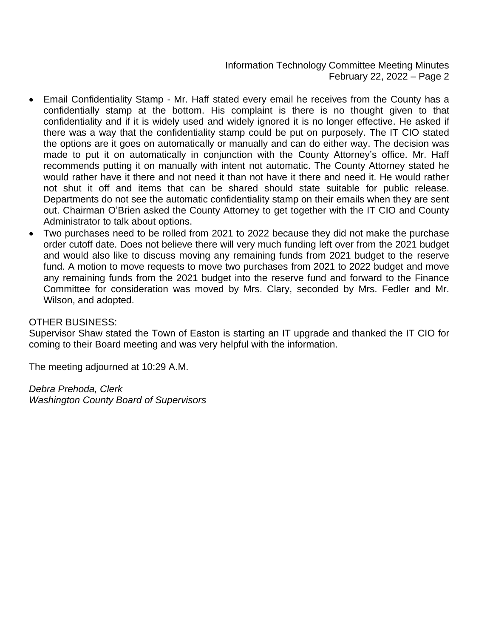Information Technology Committee Meeting Minutes February 22, 2022 – Page 2

- Email Confidentiality Stamp Mr. Haff stated every email he receives from the County has a confidentially stamp at the bottom. His complaint is there is no thought given to that confidentiality and if it is widely used and widely ignored it is no longer effective. He asked if there was a way that the confidentiality stamp could be put on purposely. The IT CIO stated the options are it goes on automatically or manually and can do either way. The decision was made to put it on automatically in conjunction with the County Attorney's office. Mr. Haff recommends putting it on manually with intent not automatic. The County Attorney stated he would rather have it there and not need it than not have it there and need it. He would rather not shut it off and items that can be shared should state suitable for public release. Departments do not see the automatic confidentiality stamp on their emails when they are sent out. Chairman O'Brien asked the County Attorney to get together with the IT CIO and County Administrator to talk about options.
- Two purchases need to be rolled from 2021 to 2022 because they did not make the purchase order cutoff date. Does not believe there will very much funding left over from the 2021 budget and would also like to discuss moving any remaining funds from 2021 budget to the reserve fund. A motion to move requests to move two purchases from 2021 to 2022 budget and move any remaining funds from the 2021 budget into the reserve fund and forward to the Finance Committee for consideration was moved by Mrs. Clary, seconded by Mrs. Fedler and Mr. Wilson, and adopted.

## OTHER BUSINESS:

Supervisor Shaw stated the Town of Easton is starting an IT upgrade and thanked the IT CIO for coming to their Board meeting and was very helpful with the information.

The meeting adjourned at 10:29 A.M.

*Debra Prehoda, Clerk Washington County Board of Supervisors*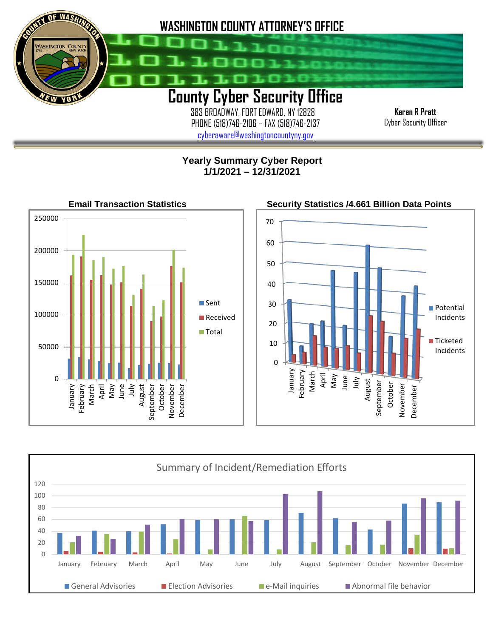

 383 BROADWAY, FORT EDWARD, NY 12828 PHONE (518)746-2106 – FAX (518)746-2137 [cyberaware@washingtoncountyny.gov](mailto:cyberaware@washingtoncountyny.gov)

**Karen R Pratt** Cyber Security Officer

# **Yearly Summary Cyber Report 1/1/2021 – 12/31/2021**

İ



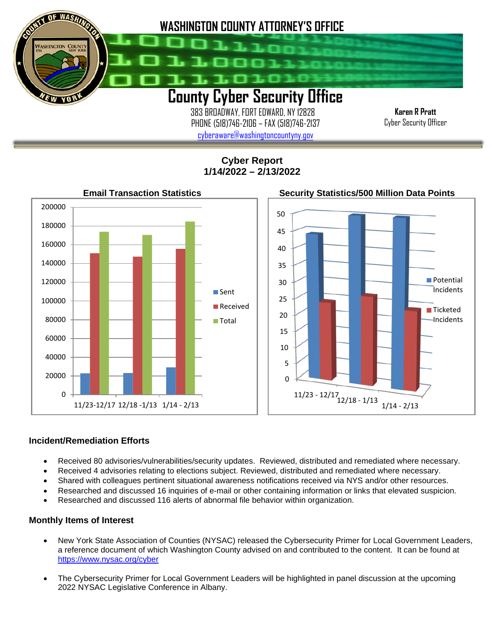

 383 BROADWAY, FORT EDWARD, NY 12828 PHONE (518)746-2106 – FAX (518)746-2137 [cyberaware@washingtoncountyny.gov](mailto:cyberaware@washingtoncountyny.gov)

**Karen R Pratt** Cyber Security Officer

**Cyber Report 1/14/2022 – 2/13/2022**



### **Incident/Remediation Efforts**

İ

- Received 80 advisories/vulnerabilities/security updates. Reviewed, distributed and remediated where necessary.
- Received 4 advisories relating to elections subject. Reviewed, distributed and remediated where necessary.
- Shared with colleagues pertinent situational awareness notifications received via NYS and/or other resources.
- Researched and discussed 16 inquiries of e-mail or other containing information or links that elevated suspicion.
- Researched and discussed 116 alerts of abnormal file behavior within organization.

#### **Monthly Items of Interest**

- New York State Association of Counties (NYSAC) released the Cybersecurity Primer for Local Government Leaders, a reference document of which Washington County advised on and contributed to the content. It can be found at <https://www.nysac.org/cyber>
- The Cybersecurity Primer for Local Government Leaders will be highlighted in panel discussion at the upcoming 2022 NYSAC Legislative Conference in Albany.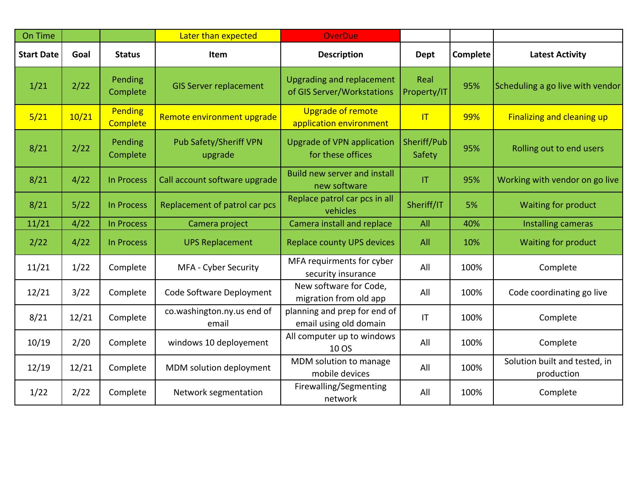| On Time           |       |                                   | Later than expected                      | <b>OverDue</b>                                                 |                        |                 |                                             |
|-------------------|-------|-----------------------------------|------------------------------------------|----------------------------------------------------------------|------------------------|-----------------|---------------------------------------------|
| <b>Start Date</b> | Goal  | <b>Status</b>                     | Item                                     | <b>Description</b>                                             | <b>Dept</b>            | <b>Complete</b> | <b>Latest Activity</b>                      |
| 1/21              | 2/22  | Pending<br>Complete               | <b>GIS Server replacement</b>            | <b>Upgrading and replacement</b><br>of GIS Server/Workstations | Real<br>Property/IT    | 95%             | Scheduling a go live with vendor            |
| 5/21              | 10/21 | <b>Pending</b><br><b>Complete</b> | Remote environment upgrade               | <b>Upgrade of remote</b><br>application environment            | T                      | 99%             | <b>Finalizing and cleaning up</b>           |
| 8/21              | 2/22  | Pending<br>Complete               | <b>Pub Safety/Sheriff VPN</b><br>upgrade | <b>Upgrade of VPN application</b><br>for these offices         | Sheriff/Pub<br>Safety  | 95%             | Rolling out to end users                    |
| 8/21              | 4/22  | In Process                        | Call account software upgrade            | <b>Build new server and install</b><br>new software            | T                      | 95%             | Working with vendor on go live              |
| 8/21              | 5/22  | <b>In Process</b>                 | Replacement of patrol car pcs            | Replace patrol car pcs in all<br>vehicles                      | Sheriff/IT             | 5%              | Waiting for product                         |
| 11/21             | 4/22  | In Process                        | Camera project                           | Camera install and replace                                     | All                    | 40%             | Installing cameras                          |
| 2/22              | 4/22  | In Process                        | <b>UPS Replacement</b>                   | <b>Replace county UPS devices</b>                              | All                    | 10%             | Waiting for product                         |
| 11/21             | 1/22  | Complete                          | MFA - Cyber Security                     | MFA requirments for cyber<br>security insurance                | All                    | 100%            | Complete                                    |
| 12/21             | 3/22  | Complete                          | Code Software Deployment                 | New software for Code,<br>migration from old app               | All                    | 100%            | Code coordinating go live                   |
| 8/21              | 12/21 | Complete                          | co.washington.ny.us end of<br>email      | planning and prep for end of<br>email using old domain         | $\mathsf{I}\mathsf{T}$ | 100%            | Complete                                    |
| 10/19             | 2/20  | Complete                          | windows 10 deployement                   | All computer up to windows<br>10 OS                            | All                    | 100%            | Complete                                    |
| 12/19             | 12/21 | Complete                          | MDM solution deployment                  | MDM solution to manage<br>mobile devices                       | All                    | 100%            | Solution built and tested, in<br>production |
| 1/22              | 2/22  | Complete                          | Network segmentation                     | Firewalling/Segmenting<br>network                              | All                    | 100%            | Complete                                    |